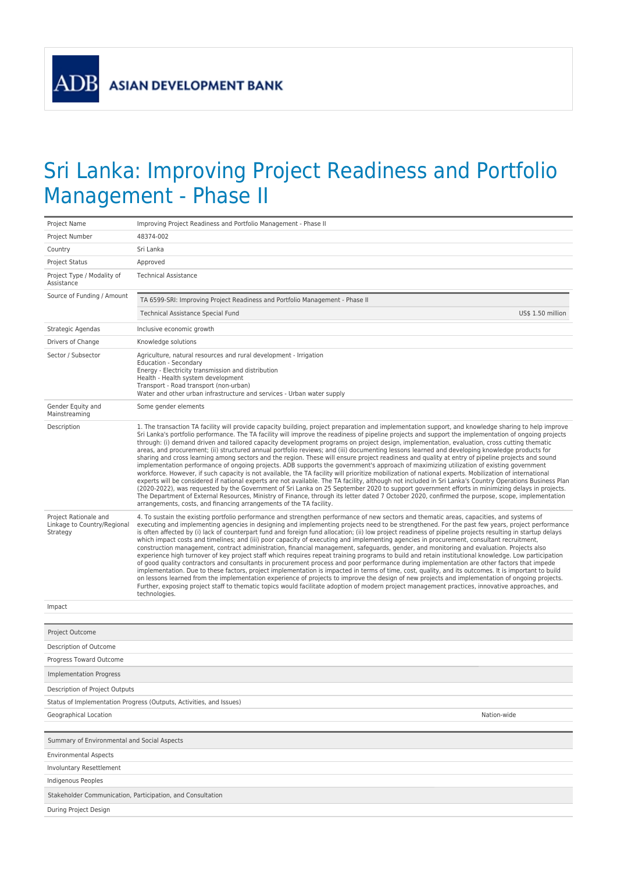## Sri Lanka: Improving Project Readiness and Portfolio Management - Phase II

| Project Name                                                        | Improving Project Readiness and Portfolio Management - Phase II                                                                                                                                                                                                                                                                                                                                                                                                                                                                                                                                                                                                                                                                                                                                                                                                                                                                                                                                                                                                                                                                                                                                                                                                                                                                                                                                                                                                                                                                                                                                                 |  |  |  |  |
|---------------------------------------------------------------------|-----------------------------------------------------------------------------------------------------------------------------------------------------------------------------------------------------------------------------------------------------------------------------------------------------------------------------------------------------------------------------------------------------------------------------------------------------------------------------------------------------------------------------------------------------------------------------------------------------------------------------------------------------------------------------------------------------------------------------------------------------------------------------------------------------------------------------------------------------------------------------------------------------------------------------------------------------------------------------------------------------------------------------------------------------------------------------------------------------------------------------------------------------------------------------------------------------------------------------------------------------------------------------------------------------------------------------------------------------------------------------------------------------------------------------------------------------------------------------------------------------------------------------------------------------------------------------------------------------------------|--|--|--|--|
| Project Number                                                      | 48374-002                                                                                                                                                                                                                                                                                                                                                                                                                                                                                                                                                                                                                                                                                                                                                                                                                                                                                                                                                                                                                                                                                                                                                                                                                                                                                                                                                                                                                                                                                                                                                                                                       |  |  |  |  |
| Country                                                             | Sri Lanka                                                                                                                                                                                                                                                                                                                                                                                                                                                                                                                                                                                                                                                                                                                                                                                                                                                                                                                                                                                                                                                                                                                                                                                                                                                                                                                                                                                                                                                                                                                                                                                                       |  |  |  |  |
| Project Status                                                      | Approved                                                                                                                                                                                                                                                                                                                                                                                                                                                                                                                                                                                                                                                                                                                                                                                                                                                                                                                                                                                                                                                                                                                                                                                                                                                                                                                                                                                                                                                                                                                                                                                                        |  |  |  |  |
| Project Type / Modality of<br>Assistance                            | <b>Technical Assistance</b>                                                                                                                                                                                                                                                                                                                                                                                                                                                                                                                                                                                                                                                                                                                                                                                                                                                                                                                                                                                                                                                                                                                                                                                                                                                                                                                                                                                                                                                                                                                                                                                     |  |  |  |  |
| Source of Funding / Amount                                          | TA 6599-SRI: Improving Project Readiness and Portfolio Management - Phase II                                                                                                                                                                                                                                                                                                                                                                                                                                                                                                                                                                                                                                                                                                                                                                                                                                                                                                                                                                                                                                                                                                                                                                                                                                                                                                                                                                                                                                                                                                                                    |  |  |  |  |
|                                                                     | Technical Assistance Special Fund<br>US\$ 1.50 million                                                                                                                                                                                                                                                                                                                                                                                                                                                                                                                                                                                                                                                                                                                                                                                                                                                                                                                                                                                                                                                                                                                                                                                                                                                                                                                                                                                                                                                                                                                                                          |  |  |  |  |
| Strategic Agendas                                                   | Inclusive economic growth                                                                                                                                                                                                                                                                                                                                                                                                                                                                                                                                                                                                                                                                                                                                                                                                                                                                                                                                                                                                                                                                                                                                                                                                                                                                                                                                                                                                                                                                                                                                                                                       |  |  |  |  |
| Drivers of Change                                                   | Knowledge solutions                                                                                                                                                                                                                                                                                                                                                                                                                                                                                                                                                                                                                                                                                                                                                                                                                                                                                                                                                                                                                                                                                                                                                                                                                                                                                                                                                                                                                                                                                                                                                                                             |  |  |  |  |
| Sector / Subsector                                                  | Agriculture, natural resources and rural development - Irrigation<br>Education - Secondary<br>Energy - Electricity transmission and distribution<br>Health - Health system development<br>Transport - Road transport (non-urban)<br>Water and other urban infrastructure and services - Urban water supply                                                                                                                                                                                                                                                                                                                                                                                                                                                                                                                                                                                                                                                                                                                                                                                                                                                                                                                                                                                                                                                                                                                                                                                                                                                                                                      |  |  |  |  |
| Gender Equity and<br>Mainstreaming                                  | Some gender elements                                                                                                                                                                                                                                                                                                                                                                                                                                                                                                                                                                                                                                                                                                                                                                                                                                                                                                                                                                                                                                                                                                                                                                                                                                                                                                                                                                                                                                                                                                                                                                                            |  |  |  |  |
| Description                                                         | 1. The transaction TA facility will provide capacity building, project preparation and implementation support, and knowledge sharing to help improve<br>Sri Lanka's portfolio performance. The TA facility will improve the readiness of pipeline projects and support the implementation of ongoing projects<br>through: (i) demand driven and tailored capacity development programs on project design, implementation, evaluation, cross cutting thematic<br>areas, and procurement; (ii) structured annual portfolio reviews; and (iii) documenting lessons learned and developing knowledge products for<br>sharing and cross learning among sectors and the region. These will ensure project readiness and quality at entry of pipeline projects and sound<br>implementation performance of ongoing projects. ADB supports the government's approach of maximizing utilization of existing government<br>workforce. However, if such capacity is not available, the TA facility will prioritize mobilization of national experts. Mobilization of international<br>experts will be considered if national experts are not available. The TA facility, although not included in Sri Lanka's Country Operations Business Plan<br>(2020-2022), was requested by the Government of Sri Lanka on 25 September 2020 to support government efforts in minimizing delays in projects.<br>The Department of External Resources, Ministry of Finance, through its letter dated 7 October 2020, confirmed the purpose, scope, implementation<br>arrangements, costs, and financing arrangements of the TA facility. |  |  |  |  |
| Project Rationale and<br>Linkage to Country/Regional<br>Strategy    | 4. To sustain the existing portfolio performance and strengthen performance of new sectors and thematic areas, capacities, and systems of<br>executing and implementing agencies in designing and implementing projects need to be strengthened. For the past few years, project performance<br>is often affected by (i) lack of counterpart fund and foreign fund allocation; (ii) low project readiness of pipeline projects resulting in startup delays<br>which impact costs and timelines; and (iii) poor capacity of executing and implementing agencies in procurement, consultant recruitment,<br>construction management, contract administration, financial management, safeguards, gender, and monitoring and evaluation. Projects also<br>experience high turnover of key project staff which requires repeat training programs to build and retain institutional knowledge. Low participation<br>of good quality contractors and consultants in procurement process and poor performance during implementation are other factors that impede<br>implementation. Due to these factors, project implementation is impacted in terms of time, cost, quality, and its outcomes. It is important to build<br>on lessons learned from the implementation experience of projects to improve the design of new projects and implementation of ongoing projects.<br>Further, exposing project staff to thematic topics would facilitate adoption of modern project management practices, innovative approaches, and<br>technologies.                                                                        |  |  |  |  |
| Impact                                                              |                                                                                                                                                                                                                                                                                                                                                                                                                                                                                                                                                                                                                                                                                                                                                                                                                                                                                                                                                                                                                                                                                                                                                                                                                                                                                                                                                                                                                                                                                                                                                                                                                 |  |  |  |  |
|                                                                     |                                                                                                                                                                                                                                                                                                                                                                                                                                                                                                                                                                                                                                                                                                                                                                                                                                                                                                                                                                                                                                                                                                                                                                                                                                                                                                                                                                                                                                                                                                                                                                                                                 |  |  |  |  |
| Project Outcome                                                     |                                                                                                                                                                                                                                                                                                                                                                                                                                                                                                                                                                                                                                                                                                                                                                                                                                                                                                                                                                                                                                                                                                                                                                                                                                                                                                                                                                                                                                                                                                                                                                                                                 |  |  |  |  |
| Description of Outcome                                              |                                                                                                                                                                                                                                                                                                                                                                                                                                                                                                                                                                                                                                                                                                                                                                                                                                                                                                                                                                                                                                                                                                                                                                                                                                                                                                                                                                                                                                                                                                                                                                                                                 |  |  |  |  |
| Progress Toward Outcome                                             |                                                                                                                                                                                                                                                                                                                                                                                                                                                                                                                                                                                                                                                                                                                                                                                                                                                                                                                                                                                                                                                                                                                                                                                                                                                                                                                                                                                                                                                                                                                                                                                                                 |  |  |  |  |
| <b>Implementation Progress</b>                                      |                                                                                                                                                                                                                                                                                                                                                                                                                                                                                                                                                                                                                                                                                                                                                                                                                                                                                                                                                                                                                                                                                                                                                                                                                                                                                                                                                                                                                                                                                                                                                                                                                 |  |  |  |  |
| Description of Project Outputs                                      |                                                                                                                                                                                                                                                                                                                                                                                                                                                                                                                                                                                                                                                                                                                                                                                                                                                                                                                                                                                                                                                                                                                                                                                                                                                                                                                                                                                                                                                                                                                                                                                                                 |  |  |  |  |
| Status of Implementation Progress (Outputs, Activities, and Issues) |                                                                                                                                                                                                                                                                                                                                                                                                                                                                                                                                                                                                                                                                                                                                                                                                                                                                                                                                                                                                                                                                                                                                                                                                                                                                                                                                                                                                                                                                                                                                                                                                                 |  |  |  |  |
| Geographical Location                                               | Nation-wide                                                                                                                                                                                                                                                                                                                                                                                                                                                                                                                                                                                                                                                                                                                                                                                                                                                                                                                                                                                                                                                                                                                                                                                                                                                                                                                                                                                                                                                                                                                                                                                                     |  |  |  |  |
|                                                                     |                                                                                                                                                                                                                                                                                                                                                                                                                                                                                                                                                                                                                                                                                                                                                                                                                                                                                                                                                                                                                                                                                                                                                                                                                                                                                                                                                                                                                                                                                                                                                                                                                 |  |  |  |  |
| Summary of Environmental and Social Aspects                         |                                                                                                                                                                                                                                                                                                                                                                                                                                                                                                                                                                                                                                                                                                                                                                                                                                                                                                                                                                                                                                                                                                                                                                                                                                                                                                                                                                                                                                                                                                                                                                                                                 |  |  |  |  |
| <b>Environmental Aspects</b>                                        |                                                                                                                                                                                                                                                                                                                                                                                                                                                                                                                                                                                                                                                                                                                                                                                                                                                                                                                                                                                                                                                                                                                                                                                                                                                                                                                                                                                                                                                                                                                                                                                                                 |  |  |  |  |
| <b>Involuntary Resettlement</b>                                     |                                                                                                                                                                                                                                                                                                                                                                                                                                                                                                                                                                                                                                                                                                                                                                                                                                                                                                                                                                                                                                                                                                                                                                                                                                                                                                                                                                                                                                                                                                                                                                                                                 |  |  |  |  |
| Indigenous Peoples                                                  |                                                                                                                                                                                                                                                                                                                                                                                                                                                                                                                                                                                                                                                                                                                                                                                                                                                                                                                                                                                                                                                                                                                                                                                                                                                                                                                                                                                                                                                                                                                                                                                                                 |  |  |  |  |
| Stakeholder Communication, Participation, and Consultation          |                                                                                                                                                                                                                                                                                                                                                                                                                                                                                                                                                                                                                                                                                                                                                                                                                                                                                                                                                                                                                                                                                                                                                                                                                                                                                                                                                                                                                                                                                                                                                                                                                 |  |  |  |  |
| During Project Design                                               |                                                                                                                                                                                                                                                                                                                                                                                                                                                                                                                                                                                                                                                                                                                                                                                                                                                                                                                                                                                                                                                                                                                                                                                                                                                                                                                                                                                                                                                                                                                                                                                                                 |  |  |  |  |
|                                                                     |                                                                                                                                                                                                                                                                                                                                                                                                                                                                                                                                                                                                                                                                                                                                                                                                                                                                                                                                                                                                                                                                                                                                                                                                                                                                                                                                                                                                                                                                                                                                                                                                                 |  |  |  |  |